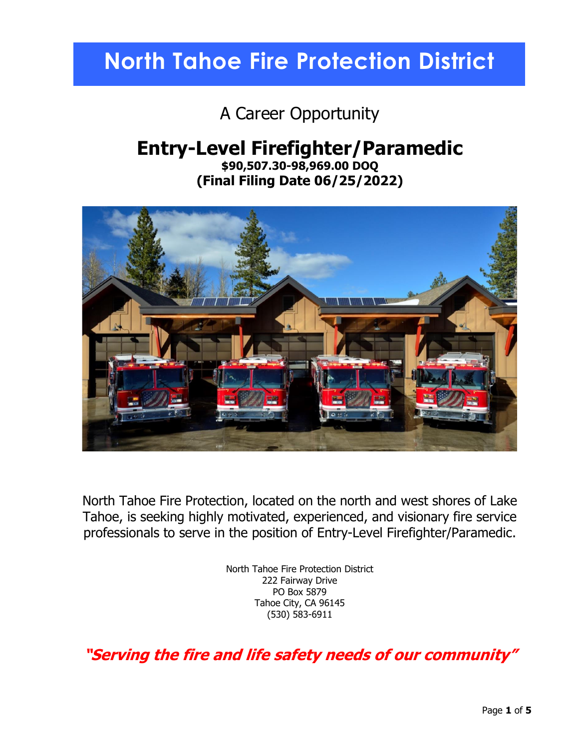# **North Tahoe Fire Protection District**

A Career Opportunity

### **Entry-Level Firefighter/Paramedic**

**\$90,507.30-98,969.00 DOQ (Final Filing Date 06/25/2022)**



North Tahoe Fire Protection, located on the north and west shores of Lake Tahoe, is seeking highly motivated, experienced, and visionary fire service professionals to serve in the position of Entry-Level Firefighter/Paramedic.

> North Tahoe Fire Protection District 222 Fairway Drive PO Box 5879 Tahoe City, CA 96145 (530) 583-6911

**"Serving the fire and life safety needs of our community"**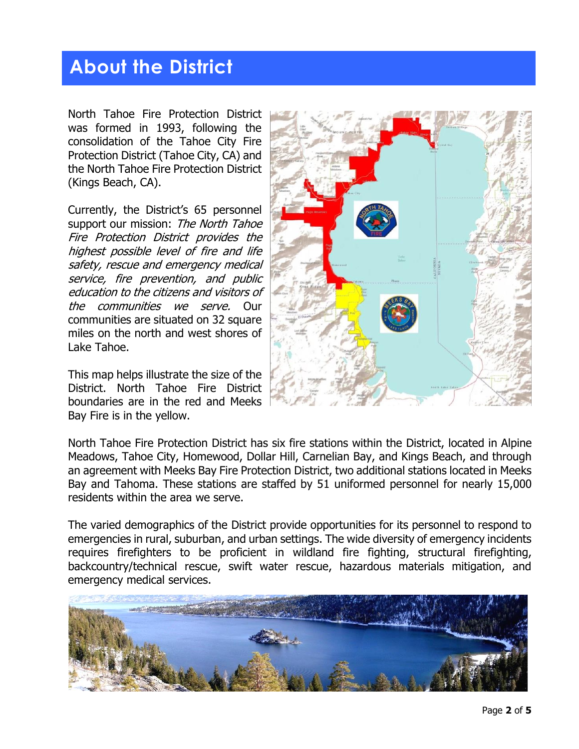### **About the District**

North Tahoe Fire Protection District was formed in 1993, following the consolidation of the Tahoe City Fire Protection District (Tahoe City, CA) and the North Tahoe Fire Protection District (Kings Beach, CA).

Currently, the District's 65 personnel support our mission: The North Tahoe Fire Protection District provides the highest possible level of fire and life safety, rescue and emergency medical service, fire prevention, and public education to the citizens and visitors of the communities we serve. Our communities are situated on 32 square miles on the north and west shores of Lake Tahoe.

This map helps illustrate the size of the District. North Tahoe Fire District boundaries are in the red and Meeks Bay Fire is in the yellow.



North Tahoe Fire Protection District has six fire stations within the District, located in Alpine Meadows, Tahoe City, Homewood, Dollar Hill, Carnelian Bay, and Kings Beach, and through an agreement with Meeks Bay Fire Protection District, two additional stations located in Meeks Bay and Tahoma. These stations are staffed by 51 uniformed personnel for nearly 15,000 residents within the area we serve.

The varied demographics of the District provide opportunities for its personnel to respond to emergencies in rural, suburban, and urban settings. The wide diversity of emergency incidents requires firefighters to be proficient in wildland fire fighting, structural firefighting, backcountry/technical rescue, swift water rescue, hazardous materials mitigation, and emergency medical services.

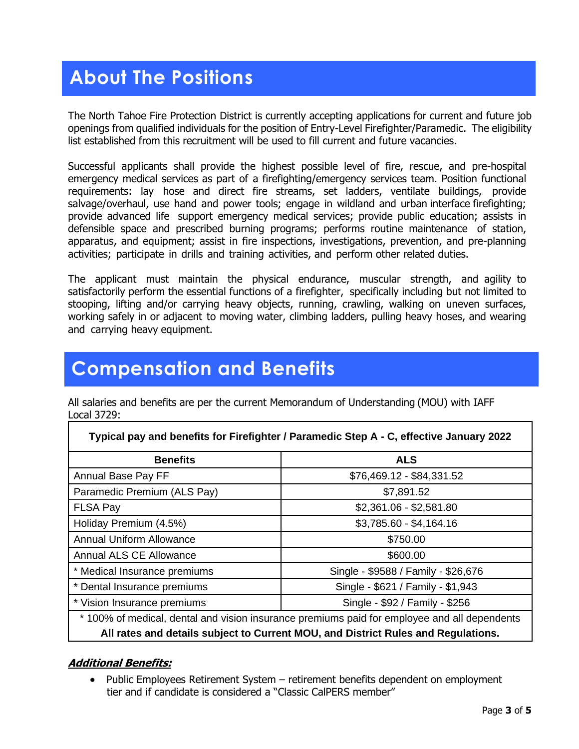# **About The Positions**

The North Tahoe Fire Protection District is currently accepting applications for current and future job openings from qualified individuals for the position of Entry-Level Firefighter/Paramedic. The eligibility list established from this recruitment will be used to fill current and future vacancies.

Successful applicants shall provide the highest possible level of fire, rescue, and pre-hospital emergency medical services as part of a firefighting/emergency services team. Position functional requirements: lay hose and direct fire streams, set ladders, ventilate buildings, provide salvage/overhaul, use hand and power tools; engage in wildland and urban interface firefighting; provide advanced life support emergency medical services; provide public education; assists in defensible space and prescribed burning programs; performs routine maintenance of station, apparatus, and equipment; assist in fire inspections, investigations, prevention, and pre-planning activities; participate in drills and training activities, and perform other related duties.

The applicant must maintain the physical endurance, muscular strength, and agility to satisfactorily perform the essential functions of a firefighter, specifically including but not limited to stooping, lifting and/or carrying heavy objects, running, crawling, walking on uneven surfaces, working safely in or adjacent to moving water, climbing ladders, pulling heavy hoses, and wearing and carrying heavy equipment.

### **Compensation and Benefits**

All salaries and benefits are per the current Memorandum of Understanding (MOU) with IAFF Local 3729:

| Typical pay and benefits for Firefighter / Paramedic Step A - C, effective January 2022      |                                     |
|----------------------------------------------------------------------------------------------|-------------------------------------|
| <b>Benefits</b>                                                                              | <b>ALS</b>                          |
| Annual Base Pay FF                                                                           | \$76,469.12 - \$84,331.52           |
| Paramedic Premium (ALS Pay)                                                                  | \$7,891.52                          |
| <b>FLSA Pay</b>                                                                              | $$2,361.06 - $2,581.80$             |
| Holiday Premium (4.5%)                                                                       | $$3,785.60 - $4,164.16$             |
| <b>Annual Uniform Allowance</b>                                                              | \$750.00                            |
| <b>Annual ALS CE Allowance</b>                                                               | \$600.00                            |
| * Medical Insurance premiums                                                                 | Single - \$9588 / Family - \$26,676 |
| * Dental Insurance premiums                                                                  | Single - \$621 / Family - \$1,943   |
| * Vision Insurance premiums                                                                  | Single - \$92 / Family - \$256      |
| * 100% of medical, dental and vision insurance premiums paid for employee and all dependents |                                     |
| All rates and details subject to Current MOU, and District Rules and Regulations.            |                                     |

#### **Additional Benefits:**

Public Employees Retirement System – retirement benefits dependent on employment tier and if candidate is considered a "Classic CalPERS member"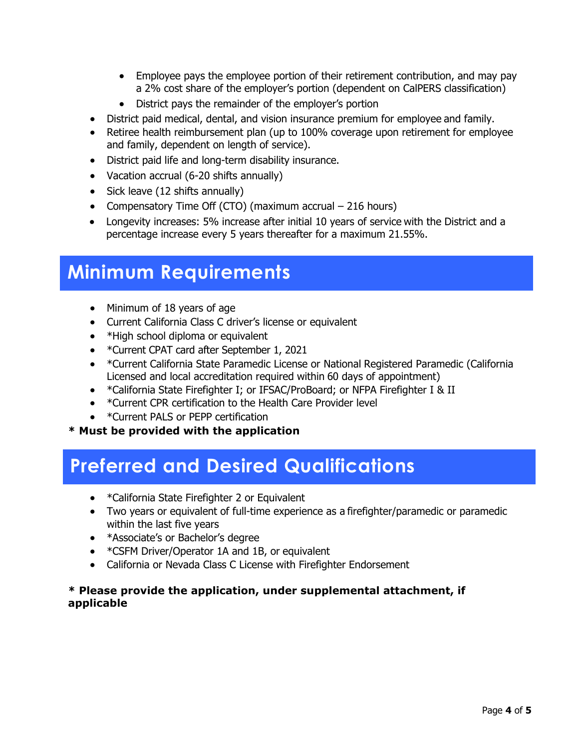- Employee pays the employee portion of their retirement contribution, and may pay a 2% cost share of the employer's portion (dependent on CalPERS classification)
- District pays the remainder of the employer's portion
- District paid medical, dental, and vision insurance premium for employee and family.
- Retiree health reimbursement plan (up to 100% coverage upon retirement for employee and family, dependent on length of service).
- District paid life and long-term disability insurance.
- Vacation accrual (6-20 shifts annually)
- Sick leave (12 shifts annually)
- Compensatory Time Off (CTO) (maximum accrual 216 hours)
- Longevity increases: 5% increase after initial 10 years of service with the District and a percentage increase every 5 years thereafter for a maximum 21.55%.

### **Minimum Requirements**

- Minimum of 18 years of age
- Current California Class C driver's license or equivalent
- \*High school diploma or equivalent
- \*Current CPAT card after September 1, 2021
- \*Current California State Paramedic License or National Registered Paramedic (California Licensed and local accreditation required within 60 days of appointment)
- \*California State Firefighter I; or IFSAC/ProBoard; or NFPA Firefighter I & II
- \*Current CPR certification to the Health Care Provider level
- \*Current PALS or PEPP certification

#### **\* Must be provided with the application**

### **Preferred and Desired Qualifications**

- \*California State Firefighter 2 or Equivalent
- Two years or equivalent of full-time experience as a firefighter/paramedic or paramedic within the last five years
- \*Associate's or Bachelor's degree
- \*CSFM Driver/Operator 1A and 1B, or equivalent
- California or Nevada Class C License with Firefighter Endorsement

#### **\* Please provide the application, under supplemental attachment, if applicable**